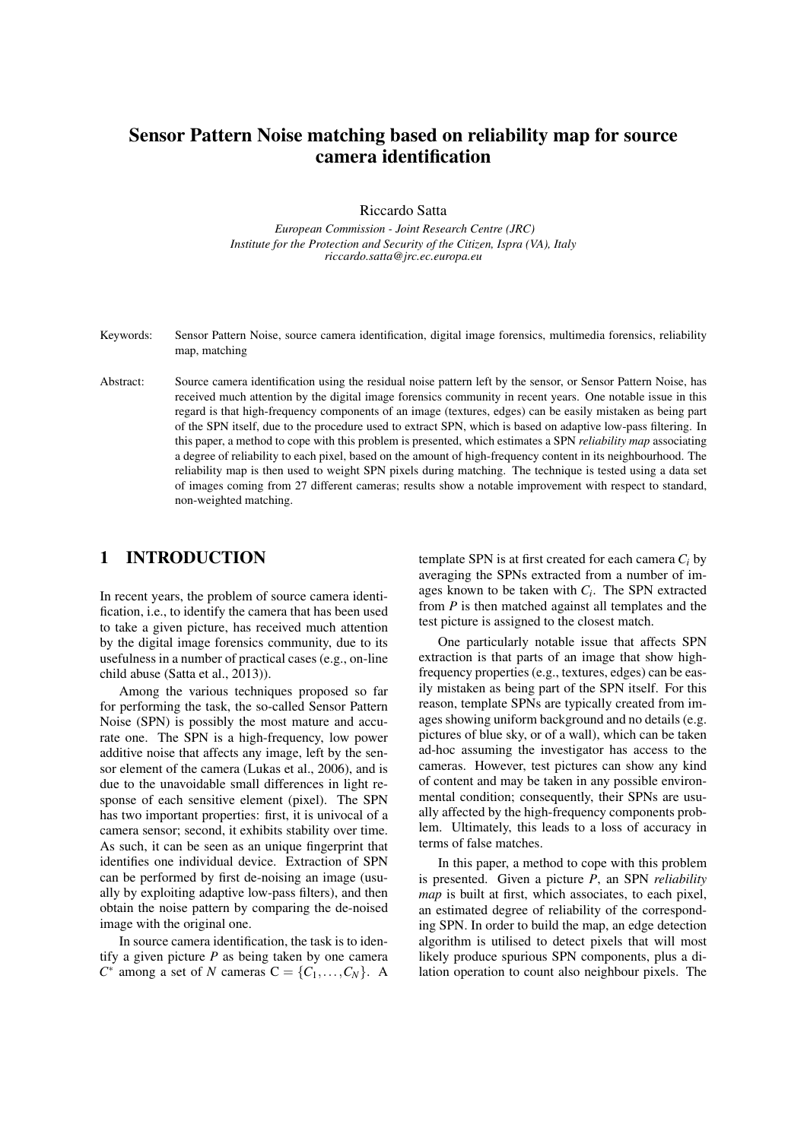# Sensor Pattern Noise matching based on reliability map for source camera identification

Riccardo Satta

*European Commission - Joint Research Centre (JRC) Institute for the Protection and Security of the Citizen, Ispra (VA), Italy riccardo.satta@jrc.ec.europa.eu*

Keywords: Sensor Pattern Noise, source camera identification, digital image forensics, multimedia forensics, reliability map, matching

Abstract: Source camera identification using the residual noise pattern left by the sensor, or Sensor Pattern Noise, has received much attention by the digital image forensics community in recent years. One notable issue in this regard is that high-frequency components of an image (textures, edges) can be easily mistaken as being part of the SPN itself, due to the procedure used to extract SPN, which is based on adaptive low-pass filtering. In this paper, a method to cope with this problem is presented, which estimates a SPN *reliability map* associating a degree of reliability to each pixel, based on the amount of high-frequency content in its neighbourhood. The reliability map is then used to weight SPN pixels during matching. The technique is tested using a data set of images coming from 27 different cameras; results show a notable improvement with respect to standard, non-weighted matching.

# 1 INTRODUCTION

In recent years, the problem of source camera identification, i.e., to identify the camera that has been used to take a given picture, has received much attention by the digital image forensics community, due to its usefulness in a number of practical cases (e.g., on-line child abuse (Satta et al., 2013)).

Among the various techniques proposed so far for performing the task, the so-called Sensor Pattern Noise (SPN) is possibly the most mature and accurate one. The SPN is a high-frequency, low power additive noise that affects any image, left by the sensor element of the camera (Lukas et al., 2006), and is due to the unavoidable small differences in light response of each sensitive element (pixel). The SPN has two important properties: first, it is univocal of a camera sensor; second, it exhibits stability over time. As such, it can be seen as an unique fingerprint that identifies one individual device. Extraction of SPN can be performed by first de-noising an image (usually by exploiting adaptive low-pass filters), and then obtain the noise pattern by comparing the de-noised image with the original one.

In source camera identification, the task is to identify a given picture *P* as being taken by one camera  $C^*$  among a set of *N* cameras  $C = \{C_1, \ldots, C_N\}$ . A

template SPN is at first created for each camera *C<sup>i</sup>* by averaging the SPNs extracted from a number of images known to be taken with *C<sup>i</sup>* . The SPN extracted from *P* is then matched against all templates and the test picture is assigned to the closest match.

One particularly notable issue that affects SPN extraction is that parts of an image that show highfrequency properties (e.g., textures, edges) can be easily mistaken as being part of the SPN itself. For this reason, template SPNs are typically created from images showing uniform background and no details (e.g. pictures of blue sky, or of a wall), which can be taken ad-hoc assuming the investigator has access to the cameras. However, test pictures can show any kind of content and may be taken in any possible environmental condition; consequently, their SPNs are usually affected by the high-frequency components problem. Ultimately, this leads to a loss of accuracy in terms of false matches.

In this paper, a method to cope with this problem is presented. Given a picture *P*, an SPN *reliability map* is built at first, which associates, to each pixel, an estimated degree of reliability of the corresponding SPN. In order to build the map, an edge detection algorithm is utilised to detect pixels that will most likely produce spurious SPN components, plus a dilation operation to count also neighbour pixels. The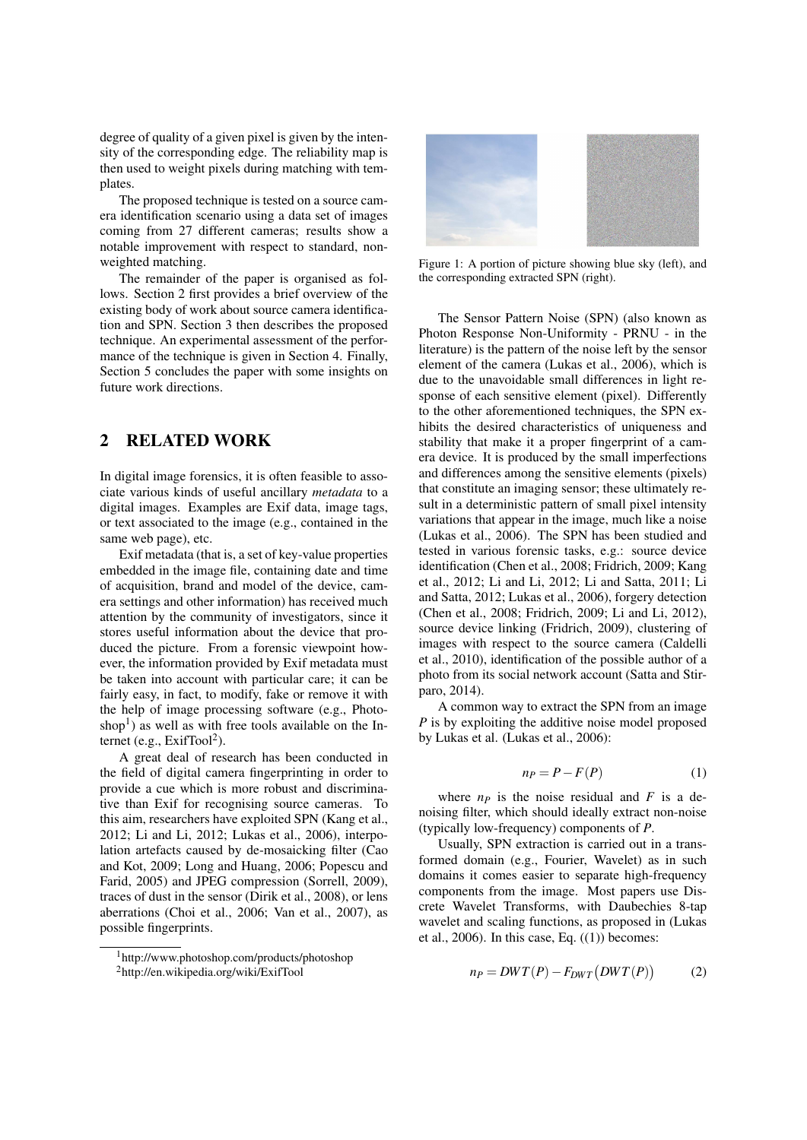degree of quality of a given pixel is given by the intensity of the corresponding edge. The reliability map is then used to weight pixels during matching with templates.

The proposed technique is tested on a source camera identification scenario using a data set of images coming from 27 different cameras; results show a notable improvement with respect to standard, nonweighted matching.

The remainder of the paper is organised as follows. Section 2 first provides a brief overview of the existing body of work about source camera identification and SPN. Section 3 then describes the proposed technique. An experimental assessment of the performance of the technique is given in Section 4. Finally, Section 5 concludes the paper with some insights on future work directions.

#### 2 RELATED WORK

In digital image forensics, it is often feasible to associate various kinds of useful ancillary *metadata* to a digital images. Examples are Exif data, image tags, or text associated to the image (e.g., contained in the same web page), etc.

Exif metadata (that is, a set of key-value properties embedded in the image file, containing date and time of acquisition, brand and model of the device, camera settings and other information) has received much attention by the community of investigators, since it stores useful information about the device that produced the picture. From a forensic viewpoint however, the information provided by Exif metadata must be taken into account with particular care; it can be fairly easy, in fact, to modify, fake or remove it with the help of image processing software (e.g., Photoshop<sup>1</sup>) as well as with free tools available on the Internet (e.g.,  $ExitTool<sup>2</sup>$ ).

A great deal of research has been conducted in the field of digital camera fingerprinting in order to provide a cue which is more robust and discriminative than Exif for recognising source cameras. To this aim, researchers have exploited SPN (Kang et al., 2012; Li and Li, 2012; Lukas et al., 2006), interpolation artefacts caused by de-mosaicking filter (Cao and Kot, 2009; Long and Huang, 2006; Popescu and Farid, 2005) and JPEG compression (Sorrell, 2009), traces of dust in the sensor (Dirik et al., 2008), or lens aberrations (Choi et al., 2006; Van et al., 2007), as possible fingerprints.

<sup>1</sup>http://www.photoshop.com/products/photoshop





Figure 1: A portion of picture showing blue sky (left), and the corresponding extracted SPN (right).

The Sensor Pattern Noise (SPN) (also known as Photon Response Non-Uniformity - PRNU - in the literature) is the pattern of the noise left by the sensor element of the camera (Lukas et al., 2006), which is due to the unavoidable small differences in light response of each sensitive element (pixel). Differently to the other aforementioned techniques, the SPN exhibits the desired characteristics of uniqueness and stability that make it a proper fingerprint of a camera device. It is produced by the small imperfections and differences among the sensitive elements (pixels) that constitute an imaging sensor; these ultimately result in a deterministic pattern of small pixel intensity variations that appear in the image, much like a noise (Lukas et al., 2006). The SPN has been studied and tested in various forensic tasks, e.g.: source device identification (Chen et al., 2008; Fridrich, 2009; Kang et al., 2012; Li and Li, 2012; Li and Satta, 2011; Li and Satta, 2012; Lukas et al., 2006), forgery detection (Chen et al., 2008; Fridrich, 2009; Li and Li, 2012), source device linking (Fridrich, 2009), clustering of images with respect to the source camera (Caldelli et al., 2010), identification of the possible author of a photo from its social network account (Satta and Stirparo, 2014).

A common way to extract the SPN from an image *P* is by exploiting the additive noise model proposed by Lukas et al. (Lukas et al., 2006):

$$
n_P = P - F(P) \tag{1}
$$

where  $n_p$  is the noise residual and  $F$  is a denoising filter, which should ideally extract non-noise (typically low-frequency) components of *P*.

Usually, SPN extraction is carried out in a transformed domain (e.g., Fourier, Wavelet) as in such domains it comes easier to separate high-frequency components from the image. Most papers use Discrete Wavelet Transforms, with Daubechies 8-tap wavelet and scaling functions, as proposed in (Lukas et al., 2006). In this case, Eq.  $((1))$  becomes:

$$
n_P = DWT(P) - F_{DWT}(DWT(P))
$$
 (2)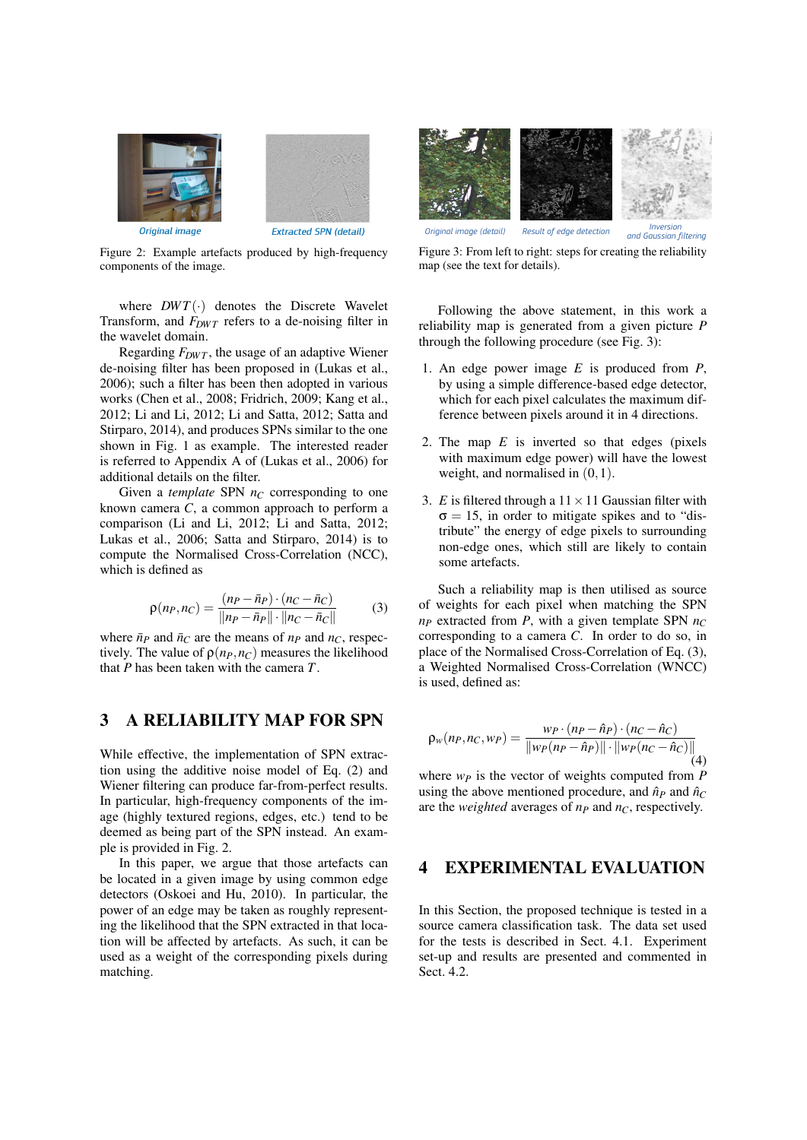

Figure 2: Example artefacts produced by high-frequency components of the image.

where  $DWT(\cdot)$  denotes the Discrete Wavelet Transform, and  $F_{DWT}$  refers to a de-noising filter in the wavelet domain.

Regarding  $F_{DWT}$ , the usage of an adaptive Wiener de-noising filter has been proposed in (Lukas et al., 2006); such a filter has been then adopted in various works (Chen et al., 2008; Fridrich, 2009; Kang et al., 2012; Li and Li, 2012; Li and Satta, 2012; Satta and Stirparo, 2014), and produces SPNs similar to the one shown in Fig. 1 as example. The interested reader is referred to Appendix A of (Lukas et al., 2006) for additional details on the filter.

Given a *template* SPN  $n_C$  corresponding to one known camera *C*, a common approach to perform a comparison (Li and Li, 2012; Li and Satta, 2012; Lukas et al., 2006; Satta and Stirparo, 2014) is to compute the Normalised Cross-Correlation (NCC), which is defined as

$$
\rho(n_P, n_C) = \frac{(n_P - \bar{n}_P) \cdot (n_C - \bar{n}_C)}{\|n_P - \bar{n}_P\| \cdot \|n_C - \bar{n}_C\|} \tag{3}
$$

where  $\bar{n}_P$  and  $\bar{n}_C$  are the means of  $n_P$  and  $n_C$ , respectively. The value of  $\rho(n_P, n_C)$  measures the likelihood that *P* has been taken with the camera *T*.

### 3 A RELIABILITY MAP FOR SPN

While effective, the implementation of SPN extraction using the additive noise model of Eq. (2) and Wiener filtering can produce far-from-perfect results. In particular, high-frequency components of the image (highly textured regions, edges, etc.) tend to be deemed as being part of the SPN instead. An example is provided in Fig. 2.

In this paper, we argue that those artefacts can be located in a given image by using common edge detectors (Oskoei and Hu, 2010). In particular, the power of an edge may be taken as roughly representing the likelihood that the SPN extracted in that location will be affected by artefacts. As such, it can be used as a weight of the corresponding pixels during matching.



Figure 3: From left to right: steps for creating the reliability map (see the text for details).

Following the above statement, in this work a reliability map is generated from a given picture *P* through the following procedure (see Fig. 3):

- 1. An edge power image *E* is produced from *P*, by using a simple difference-based edge detector, which for each pixel calculates the maximum difference between pixels around it in 4 directions.
- 2. The map *E* is inverted so that edges (pixels with maximum edge power) will have the lowest weight, and normalised in (0,1).
- 3. *E* is filtered through a  $11 \times 11$  Gaussian filter with  $\sigma = 15$ , in order to mitigate spikes and to "distribute" the energy of edge pixels to surrounding non-edge ones, which still are likely to contain some artefacts.

Such a reliability map is then utilised as source of weights for each pixel when matching the SPN  $n_P$  extracted from *P*, with a given template SPN  $n_C$ corresponding to a camera *C*. In order to do so, in place of the Normalised Cross-Correlation of Eq. (3), a Weighted Normalised Cross-Correlation (WNCC) is used, defined as:

$$
\rho_w(n_P, n_C, w_P) = \frac{w_P \cdot (n_P - \hat{n}_P) \cdot (n_C - \hat{n}_C)}{\|w_P(n_P - \hat{n}_P)\| \cdot \|w_P(n_C - \hat{n}_C)\|}
$$
(4)

where  $w_p$  is the vector of weights computed from  $P$ using the above mentioned procedure, and  $\hat{n}_P$  and  $\hat{n}_C$ are the *weighted* averages of *n<sup>P</sup>* and *nC*, respectively.

## 4 EXPERIMENTAL EVALUATION

In this Section, the proposed technique is tested in a source camera classification task. The data set used for the tests is described in Sect. 4.1. Experiment set-up and results are presented and commented in Sect. 4.2.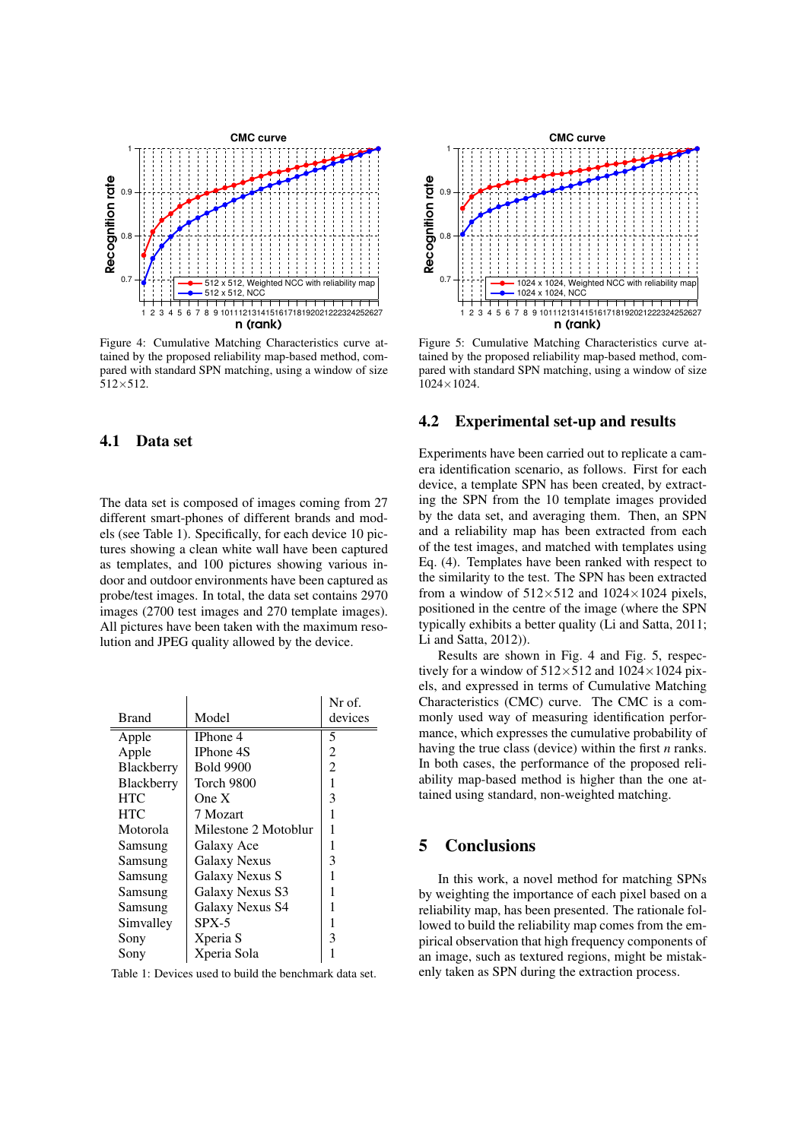

Figure 4: Cumulative Matching Characteristics curve attained by the proposed reliability map-based method, compared with standard SPN matching, using a window of size  $512\times 512$ .

#### 4.1 Data set

The data set is composed of images coming from 27 different smart-phones of different brands and models (see Table 1). Specifically, for each device 10 pictures showing a clean white wall have been captured as templates, and 100 pictures showing various indoor and outdoor environments have been captured as probe/test images. In total, the data set contains 2970 images (2700 test images and 270 template images). All pictures have been taken with the maximum resolution and JPEG quality allowed by the device.

|              |                      | Nr of.         |
|--------------|----------------------|----------------|
| <b>Brand</b> | Model                | devices        |
| Apple        | IPhone 4             | 5              |
| Apple        | IPhone 4S            | 2              |
| Blackberry   | <b>Bold 9900</b>     | $\overline{2}$ |
| Blackberry   | Torch 9800           | 1              |
| <b>HTC</b>   | One $X$              | 3              |
| <b>HTC</b>   | 7 Mozart             | 1              |
| Motorola     | Milestone 2 Motoblur |                |
| Samsung      | Galaxy Ace           |                |
| Samsung      | Galaxy Nexus         | 3              |
| Samsung      | Galaxy Nexus S       |                |
| Samsung      | Galaxy Nexus S3      |                |
| Samsung      | Galaxy Nexus S4      |                |
| Simvalley    | $SPX-5$              |                |
| Sony         | Xperia S             | 3              |
| Sony         | Xperia Sola          |                |

Table 1: Devices used to build the benchmark data set.



Figure 5: Cumulative Matching Characteristics curve attained by the proposed reliability map-based method, compared with standard SPN matching, using a window of size 1024×1024.

#### 4.2 Experimental set-up and results

Experiments have been carried out to replicate a camera identification scenario, as follows. First for each device, a template SPN has been created, by extracting the SPN from the 10 template images provided by the data set, and averaging them. Then, an SPN and a reliability map has been extracted from each of the test images, and matched with templates using Eq. (4). Templates have been ranked with respect to the similarity to the test. The SPN has been extracted from a window of  $512\times512$  and  $1024\times1024$  pixels, positioned in the centre of the image (where the SPN typically exhibits a better quality (Li and Satta, 2011; Li and Satta, 2012)).

Results are shown in Fig. 4 and Fig. 5, respectively for a window of  $512\times512$  and  $1024\times1024$  pixels, and expressed in terms of Cumulative Matching Characteristics (CMC) curve. The CMC is a commonly used way of measuring identification performance, which expresses the cumulative probability of having the true class (device) within the first *n* ranks. In both cases, the performance of the proposed reliability map-based method is higher than the one attained using standard, non-weighted matching.

# 5 Conclusions

In this work, a novel method for matching SPNs by weighting the importance of each pixel based on a reliability map, has been presented. The rationale followed to build the reliability map comes from the empirical observation that high frequency components of an image, such as textured regions, might be mistakenly taken as SPN during the extraction process.